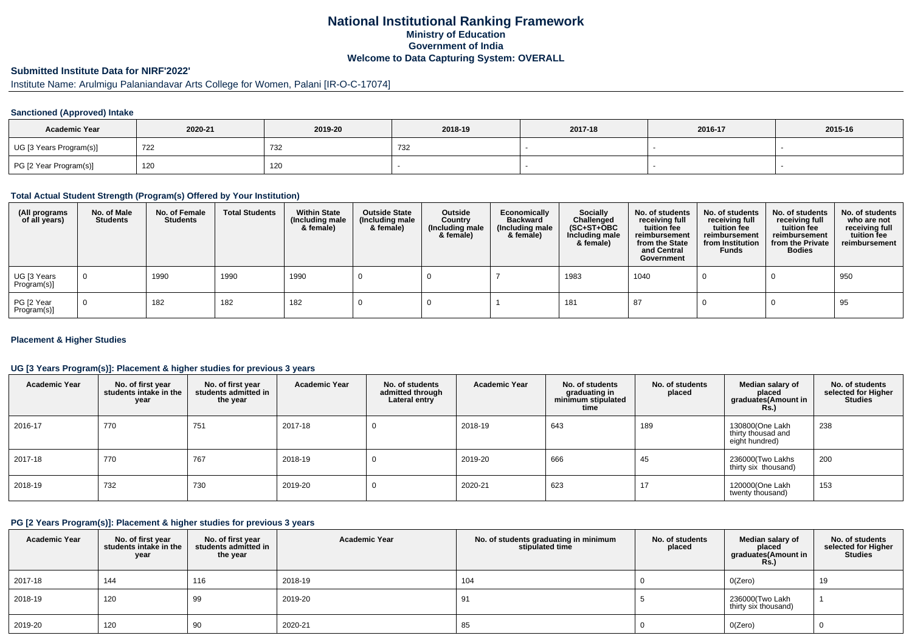## **National Institutional Ranking FrameworkMinistry of Education Government of IndiaWelcome to Data Capturing System: OVERALL**

# **Submitted Institute Data for NIRF'2022'**

# Institute Name: Arulmigu Palaniandavar Arts College for Women, Palani [IR-O-C-17074]

## **Sanctioned (Approved) Intake**

| <b>Academic Year</b>    | 2020-21 | 2019-20 | 2018-19 | 2017-18 | 2016-17 | 2015-16 |
|-------------------------|---------|---------|---------|---------|---------|---------|
| UG [3 Years Program(s)] | 722     | 732     | ےں ا    |         |         |         |
| PG [2 Year Program(s)]  | 120     | 120     |         |         |         |         |

#### **Total Actual Student Strength (Program(s) Offered by Your Institution)**

| (All programs<br>of all years) | No. of Male<br><b>Students</b> | No. of Female<br>Students | <b>Total Students</b> | <b>Within State</b><br>(Including male<br>& female) | <b>Outside State</b><br>(Including male<br>& female) | Outside<br>Country<br>(Including male<br>& female) | Economically<br><b>Backward</b><br>(Including male<br>& female) | <b>Socially</b><br>Challenged<br>$(SC+ST+OBC)$<br>Including male<br>& female) | No. of students<br>receiving full<br>tuition fee<br>reimbursement<br>from the State<br>and Central<br>Government | No. of students<br>receiving full<br>tuition fee<br>reimbursement<br>from Institution<br><b>Funds</b> | No. of students<br>receiving full<br>tuition fee<br>reimbursement<br>from the Private<br><b>Bodies</b> | No. of students<br>who are not<br>receiving full<br>tuition fee<br>reimbursement |
|--------------------------------|--------------------------------|---------------------------|-----------------------|-----------------------------------------------------|------------------------------------------------------|----------------------------------------------------|-----------------------------------------------------------------|-------------------------------------------------------------------------------|------------------------------------------------------------------------------------------------------------------|-------------------------------------------------------------------------------------------------------|--------------------------------------------------------------------------------------------------------|----------------------------------------------------------------------------------|
| UG [3 Years<br>Program(s)]     | $\overline{0}$                 | 1990                      | 1990                  | 1990                                                |                                                      |                                                    |                                                                 | 1983                                                                          | 1040                                                                                                             |                                                                                                       |                                                                                                        | 950                                                                              |
| PG [2 Year<br>Program(s)]      | $\overline{0}$                 | 182                       | 182                   | 182                                                 |                                                      |                                                    |                                                                 | 181                                                                           | 87                                                                                                               |                                                                                                       |                                                                                                        | 95                                                                               |

## **Placement & Higher Studies**

## **UG [3 Years Program(s)]: Placement & higher studies for previous 3 years**

| <b>Academic Year</b> | No. of first year<br>students intake in the<br>year | No. of first vear<br>students admitted in<br>the year | <b>Academic Year</b> | No. of students<br>admitted through<br>Lateral entry | <b>Academic Year</b> | No. of students<br>graduating in<br>minimum stipulated<br>time | No. of students<br>placed | Median salary of<br>placed<br>graduates(Amount in<br><b>Rs.)</b> | No. of students<br>selected for Higher<br><b>Studies</b> |
|----------------------|-----------------------------------------------------|-------------------------------------------------------|----------------------|------------------------------------------------------|----------------------|----------------------------------------------------------------|---------------------------|------------------------------------------------------------------|----------------------------------------------------------|
| 2016-17              | 770                                                 | 751                                                   | 2017-18              | U                                                    | 2018-19              | 643                                                            | 189                       | 130800(One Lakh<br>thirty thousad and<br>eight hundred)          | 238                                                      |
| 2017-18              | 770                                                 | 767                                                   | 2018-19              |                                                      | 2019-20              | 666                                                            | 45                        | 236000(Two Lakhs<br>thirty six thousand)                         | 200                                                      |
| 2018-19              | 732                                                 | 730                                                   | 2019-20              | U                                                    | 2020-21              | 623                                                            | 17                        | 120000(One Lakh<br>twenty thousand)                              | 153                                                      |

### **PG [2 Years Program(s)]: Placement & higher studies for previous 3 years**

| <b>Academic Year</b> | No. of first year<br>students intake in the<br>year | No. of first year<br>students admitted in<br>the year | <b>Academic Year</b> | No. of students graduating in minimum<br>stipulated time | No. of students<br>placed | Median salary of<br>placed<br>graduates(Amount in<br><b>Rs.)</b> | No. of students<br>selected for Higher<br><b>Studies</b> |
|----------------------|-----------------------------------------------------|-------------------------------------------------------|----------------------|----------------------------------------------------------|---------------------------|------------------------------------------------------------------|----------------------------------------------------------|
| 2017-18              | 144                                                 | 116                                                   | 2018-19              | 104                                                      |                           | O(Zero)                                                          | 19                                                       |
| 2018-19              | 120                                                 | 99                                                    | 2019-20              | 91                                                       |                           | 236000(Two Lakh<br>thirty six thousand)                          |                                                          |
| 2019-20              | 120                                                 | 90                                                    | 2020-21              | 85                                                       |                           | O(Zero)                                                          |                                                          |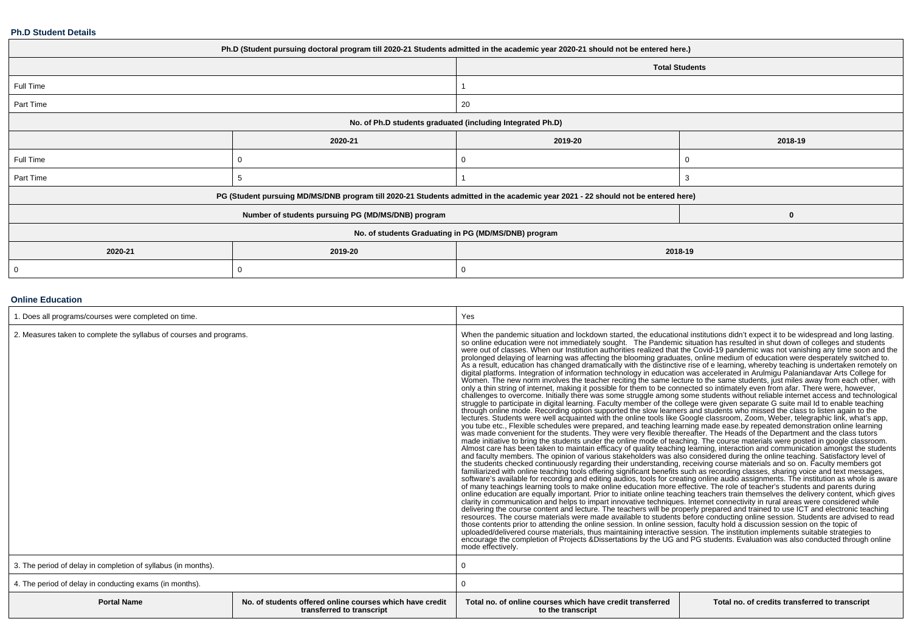#### **Ph.D Student Details**

| Ph.D (Student pursuing doctoral program till 2020-21 Students admitted in the academic year 2020-21 should not be entered here.) |                                                                                                                                  |                                                      |                       |  |  |
|----------------------------------------------------------------------------------------------------------------------------------|----------------------------------------------------------------------------------------------------------------------------------|------------------------------------------------------|-----------------------|--|--|
|                                                                                                                                  |                                                                                                                                  |                                                      | <b>Total Students</b> |  |  |
| Full Time                                                                                                                        |                                                                                                                                  |                                                      |                       |  |  |
| Part Time                                                                                                                        |                                                                                                                                  | 20                                                   |                       |  |  |
| No. of Ph.D students graduated (including Integrated Ph.D)                                                                       |                                                                                                                                  |                                                      |                       |  |  |
|                                                                                                                                  | 2020-21                                                                                                                          | 2019-20                                              | 2018-19               |  |  |
| Full Time                                                                                                                        | 0                                                                                                                                |                                                      |                       |  |  |
| Part Time                                                                                                                        | đ                                                                                                                                |                                                      |                       |  |  |
|                                                                                                                                  | PG (Student pursuing MD/MS/DNB program till 2020-21 Students admitted in the academic year 2021 - 22 should not be entered here) |                                                      |                       |  |  |
|                                                                                                                                  | Number of students pursuing PG (MD/MS/DNB) program                                                                               |                                                      | $\mathbf{0}$          |  |  |
|                                                                                                                                  |                                                                                                                                  | No. of students Graduating in PG (MD/MS/DNB) program |                       |  |  |
| 2020-21                                                                                                                          | 2019-20                                                                                                                          | 2018-19                                              |                       |  |  |
| 0                                                                                                                                |                                                                                                                                  |                                                      |                       |  |  |

## **Online Education**

| 1. Does all programs/courses were completed on time.                |                                                                                       | Yes                                                                                                                                                                                                                                                                                                                                                                                                                                                                                                                                                                                                                                                                                                                                                                                                                                                                                                                                                                                                                                                                                                                                                                                                                                                                                                                                                                                                                                                                                                                                                                                                                                                                                                                                                                                                                                                                                                                                                                                                                                                                                                                                                                                                                                                                                                                                                                                                                                                                                                                                                                                                                                                                                                                                                                                                                  |                                                                                                                                                                                                                                                                                                                                                                                                                                                                                                                                                                                                                                                                                                                                                                                                                                                      |  |
|---------------------------------------------------------------------|---------------------------------------------------------------------------------------|----------------------------------------------------------------------------------------------------------------------------------------------------------------------------------------------------------------------------------------------------------------------------------------------------------------------------------------------------------------------------------------------------------------------------------------------------------------------------------------------------------------------------------------------------------------------------------------------------------------------------------------------------------------------------------------------------------------------------------------------------------------------------------------------------------------------------------------------------------------------------------------------------------------------------------------------------------------------------------------------------------------------------------------------------------------------------------------------------------------------------------------------------------------------------------------------------------------------------------------------------------------------------------------------------------------------------------------------------------------------------------------------------------------------------------------------------------------------------------------------------------------------------------------------------------------------------------------------------------------------------------------------------------------------------------------------------------------------------------------------------------------------------------------------------------------------------------------------------------------------------------------------------------------------------------------------------------------------------------------------------------------------------------------------------------------------------------------------------------------------------------------------------------------------------------------------------------------------------------------------------------------------------------------------------------------------------------------------------------------------------------------------------------------------------------------------------------------------------------------------------------------------------------------------------------------------------------------------------------------------------------------------------------------------------------------------------------------------------------------------------------------------------------------------------------------------|------------------------------------------------------------------------------------------------------------------------------------------------------------------------------------------------------------------------------------------------------------------------------------------------------------------------------------------------------------------------------------------------------------------------------------------------------------------------------------------------------------------------------------------------------------------------------------------------------------------------------------------------------------------------------------------------------------------------------------------------------------------------------------------------------------------------------------------------------|--|
| 2. Measures taken to complete the syllabus of courses and programs. |                                                                                       | When the pandemic situation and lockdown started, the educational institutions didn't expect it to be widespread and long lasting.<br>digital platforms. Integration of information technology in education was accelerated in Arulmigu Palaniandavar Arts College for<br>Women. The new norm involves the teacher reciting the same lecture to the same students, just miles away from each other, with<br>only a thin string of internet, making it possible for them to be connected so intimately even from afar. There were, however,<br>through online mode. Recording option supported the slow learners and students who missed the class to listen again to the<br>lectures. Students were well acquainted with the online tools like Google classroom, Zoom, Weber, telegraphic link, what's app,<br>you tube etc., Flexible schedules were prepared, and teaching learning made ease by repeated demonstration online learning<br>was made convenient for the students. They were very flexible thereafter. The Heads of the Department and the class tutors<br>made initiative to bring the students under the online mode of teaching. The course materials were posted in google classroom.<br>Almost care has been taken to maintain efficacy of quality teaching learning, interaction and communication amongst the students<br>and faculty members. The opinion of various stakeholders was also considered during the online teaching. Satisfactory level of<br>the students checked continuously regarding their understanding, receiving course materials and so on. Faculty members got<br>familiarized with online teaching tools offering significant benefits such as recording classes, sharing voice and text messages,<br>of many teachings learning tools to make online education more effective. The role of teacher's students and parents during<br>online education are equally important. Prior to initiate online teaching teachers train themselves the delivery content, which gives<br>clarity in communication and helps to impart innovative techniques. Internet connectivity in rural areas were considered while<br>delivering the course content and lecture. The teachers will be properly prepared and trained to use ICT and electronic teaching<br>resources. The course materials were made available to students before conducting online sess<br>those contents prior to attending the online session. In online session, faculty hold a discussion session on the topic of<br>uploaded/delivered course materials, thus maintaining interactive session. The institution implements suitable strategies to<br>encourage the completion of Projects & Dissertations by the UG and PG students. Evaluation was also conducted through online<br>mode effectively. | so online education were not immediately sought. The Pandemic situation has resulted in shut down of colleges and students<br>were out of classes. When our Institution authorities realized that the Covid-19 pandemic was not v<br>prolonged delaying of learning was affecting the blooming graduates, online medium of education were desperately switched to.<br>As a result, education has changed dramatically with the distinctive rise of e learning, whereby<br>challenges to overcome. Initially there was some struggle among some students without reliable internet access and technological<br>struggle to participate in digital learning. Faculty member of the college were given separat<br>software's available for recording and editing audios, tools for creating online audio assignments. The institution as whole is aware |  |
| 3. The period of delay in completion of syllabus (in months).       |                                                                                       |                                                                                                                                                                                                                                                                                                                                                                                                                                                                                                                                                                                                                                                                                                                                                                                                                                                                                                                                                                                                                                                                                                                                                                                                                                                                                                                                                                                                                                                                                                                                                                                                                                                                                                                                                                                                                                                                                                                                                                                                                                                                                                                                                                                                                                                                                                                                                                                                                                                                                                                                                                                                                                                                                                                                                                                                                      |                                                                                                                                                                                                                                                                                                                                                                                                                                                                                                                                                                                                                                                                                                                                                                                                                                                      |  |
| 4. The period of delay in conducting exams (in months).             |                                                                                       |                                                                                                                                                                                                                                                                                                                                                                                                                                                                                                                                                                                                                                                                                                                                                                                                                                                                                                                                                                                                                                                                                                                                                                                                                                                                                                                                                                                                                                                                                                                                                                                                                                                                                                                                                                                                                                                                                                                                                                                                                                                                                                                                                                                                                                                                                                                                                                                                                                                                                                                                                                                                                                                                                                                                                                                                                      |                                                                                                                                                                                                                                                                                                                                                                                                                                                                                                                                                                                                                                                                                                                                                                                                                                                      |  |
| <b>Portal Name</b>                                                  | No. of students offered online courses which have credit<br>transferred to transcript | Total no, of online courses which have credit transferred<br>to the transcript                                                                                                                                                                                                                                                                                                                                                                                                                                                                                                                                                                                                                                                                                                                                                                                                                                                                                                                                                                                                                                                                                                                                                                                                                                                                                                                                                                                                                                                                                                                                                                                                                                                                                                                                                                                                                                                                                                                                                                                                                                                                                                                                                                                                                                                                                                                                                                                                                                                                                                                                                                                                                                                                                                                                       | Total no. of credits transferred to transcript                                                                                                                                                                                                                                                                                                                                                                                                                                                                                                                                                                                                                                                                                                                                                                                                       |  |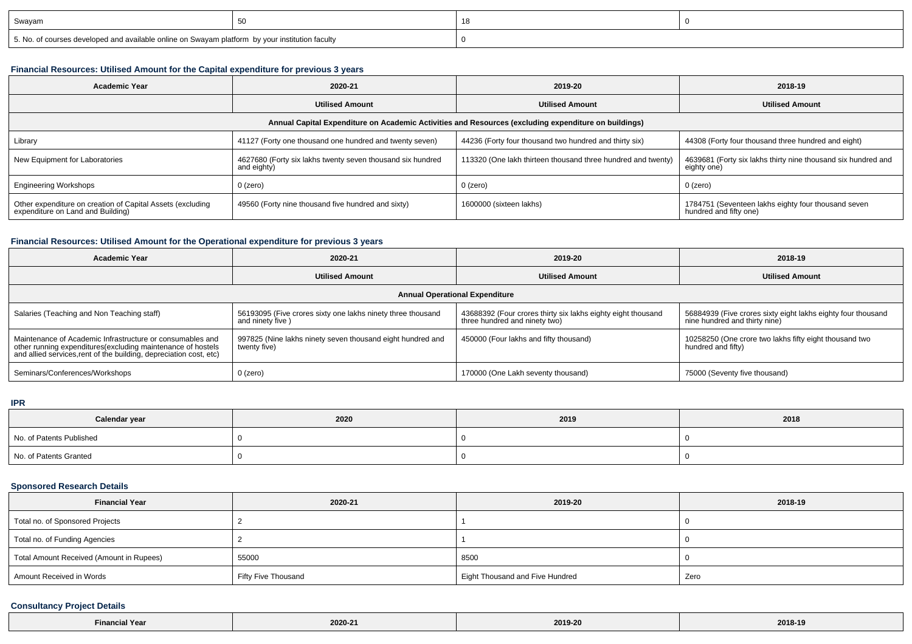| I Swavam                                                                                        |  |  |
|-------------------------------------------------------------------------------------------------|--|--|
| 5. No. of courses developed and available online on Swayam platform by your institution faculty |  |  |

## **Financial Resources: Utilised Amount for the Capital expenditure for previous 3 years**

| <b>Academic Year</b>                                                                                 | 2020-21                                                                   | 2019-20                                                      | 2018-19                                                                       |  |  |  |  |  |
|------------------------------------------------------------------------------------------------------|---------------------------------------------------------------------------|--------------------------------------------------------------|-------------------------------------------------------------------------------|--|--|--|--|--|
| <b>Utilised Amount</b>                                                                               |                                                                           | <b>Utilised Amount</b>                                       | <b>Utilised Amount</b>                                                        |  |  |  |  |  |
| Annual Capital Expenditure on Academic Activities and Resources (excluding expenditure on buildings) |                                                                           |                                                              |                                                                               |  |  |  |  |  |
| Library                                                                                              | 41127 (Forty one thousand one hundred and twenty seven)                   | 44236 (Forty four thousand two hundred and thirty six)       | 44308 (Forty four thousand three hundred and eight)                           |  |  |  |  |  |
| New Equipment for Laboratories                                                                       | 4627680 (Forty six lakhs twenty seven thousand six hundred<br>and eighty) | 113320 (One lakh thirteen thousand three hundred and twenty) | 4639681 (Forty six lakhs thirty nine thousand six hundred and<br>eighty one)  |  |  |  |  |  |
| <b>Engineering Workshops</b>                                                                         | $0$ (zero)                                                                | $0$ (zero)                                                   | $0$ (zero)                                                                    |  |  |  |  |  |
| Other expenditure on creation of Capital Assets (excluding<br>expenditure on Land and Building)      | 49560 (Forty nine thousand five hundred and sixty)                        | 1600000 (sixteen lakhs)                                      | 1784751 (Seventeen lakhs eighty four thousand seven<br>hundred and fifty one) |  |  |  |  |  |

## **Financial Resources: Utilised Amount for the Operational expenditure for previous 3 years**

| <b>Academic Year</b>                                                                                                                                                                            | 2020-21                                                                         | 2019-20                                                                                       | 2018-19                                                                                       |  |  |  |  |
|-------------------------------------------------------------------------------------------------------------------------------------------------------------------------------------------------|---------------------------------------------------------------------------------|-----------------------------------------------------------------------------------------------|-----------------------------------------------------------------------------------------------|--|--|--|--|
|                                                                                                                                                                                                 | <b>Utilised Amount</b>                                                          | <b>Utilised Amount</b>                                                                        | <b>Utilised Amount</b>                                                                        |  |  |  |  |
| <b>Annual Operational Expenditure</b>                                                                                                                                                           |                                                                                 |                                                                                               |                                                                                               |  |  |  |  |
| Salaries (Teaching and Non Teaching staff)                                                                                                                                                      | 56193095 (Five crores sixty one lakhs ninety three thousand<br>and ninety five) | 43688392 (Four crores thirty six lakhs eighty eight thousand<br>three hundred and ninety two) | 56884939 (Five crores sixty eight lakhs eighty four thousand<br>nine hundred and thirty nine) |  |  |  |  |
| Maintenance of Academic Infrastructure or consumables and<br>other running expenditures (excluding maintenance of hostels<br>and allied services, rent of the building, depreciation cost, etc) | 997825 (Nine lakhs ninety seven thousand eight hundred and<br>twenty five)      | 450000 (Four lakhs and fifty thousand)                                                        | 10258250 (One crore two lakhs fifty eight thousand two<br>hundred and fifty)                  |  |  |  |  |
| Seminars/Conferences/Workshops                                                                                                                                                                  | 0 (zero)                                                                        | 170000 (One Lakh seventy thousand)                                                            | 75000 (Seventy five thousand)                                                                 |  |  |  |  |

#### **IPR**

| Calendar year            | 2020 | 2019 | 2018 |
|--------------------------|------|------|------|
| No. of Patents Published |      |      |      |
| No. of Patents Granted   |      |      |      |

## **Sponsored Research Details**

| <b>Financial Year</b>                    | 2020-21             | 2019-20                         | 2018-19 |
|------------------------------------------|---------------------|---------------------------------|---------|
| Total no. of Sponsored Projects          |                     |                                 |         |
| Total no. of Funding Agencies            |                     |                                 |         |
| Total Amount Received (Amount in Rupees) | 55000               | 8500                            |         |
| Amount Received in Words                 | Fifty Five Thousand | Eight Thousand and Five Hundred | Zero    |

## **Consultancy Project Details**

| <b>Financial Year</b><br><b>Contract Contract Contract</b> | 2020-21 | 2019-20 | 2018-19 |
|------------------------------------------------------------|---------|---------|---------|
|------------------------------------------------------------|---------|---------|---------|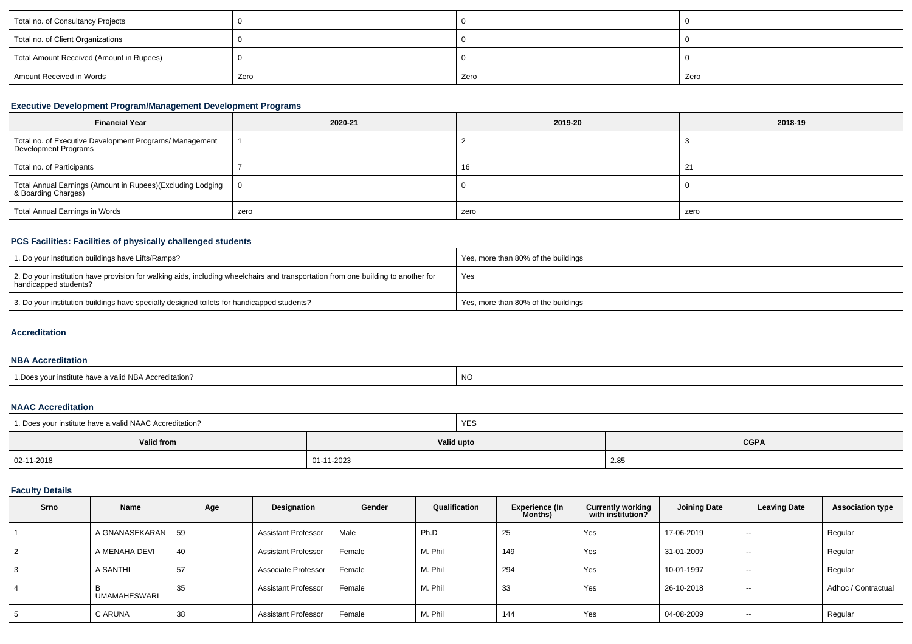| Total no. of Consultancy Projects        |      |      |      |
|------------------------------------------|------|------|------|
| Total no. of Client Organizations        |      |      |      |
| Total Amount Received (Amount in Rupees) |      |      |      |
| Amount Received in Words                 | Zero | Zero | Zero |

## **Executive Development Program/Management Development Programs**

| <b>Financial Year</b>                                                              | 2020-21 | 2019-20 | 2018-19 |
|------------------------------------------------------------------------------------|---------|---------|---------|
| Total no. of Executive Development Programs/ Management<br>Development Programs    |         |         |         |
| Total no. of Participants                                                          |         | 16      |         |
| Total Annual Earnings (Amount in Rupees)(Excluding Lodging  <br>& Boarding Charges |         |         |         |
| Total Annual Earnings in Words                                                     | zero    | zero    | zero    |

## **PCS Facilities: Facilities of physically challenged students**

| 1. Do your institution buildings have Lifts/Ramps?                                                                                                         | Yes, more than 80% of the buildings |
|------------------------------------------------------------------------------------------------------------------------------------------------------------|-------------------------------------|
| 2. Do your institution have provision for walking aids, including wheelchairs and transportation from one building to another for<br>handicapped students? | Yes                                 |
| 3. Do your institution buildings have specially designed toilets for handicapped students?                                                                 | Yes, more than 80% of the buildings |

## **Accreditation**

#### **NBA Accreditation**

| 1. Does your institute have a valid NBA Accreditation? | <b>NC</b> |
|--------------------------------------------------------|-----------|
|--------------------------------------------------------|-----------|

#### **NAAC Accreditation**

| 1. Does your institute have a valid NAAC Accreditation? |            | <b>YES</b> |             |  |  |
|---------------------------------------------------------|------------|------------|-------------|--|--|
| Valid from                                              |            | Valid upto | <b>CGPA</b> |  |  |
| 02-11-2018                                              | 01-11-2023 |            | 2.85        |  |  |

## **Faculty Details**

| Srno | Name                | Age | Designation                | Gender | Qualification | Experience (In<br><b>Months</b> ) | <b>Currently working</b><br>with institution? | <b>Joining Date</b> | <b>Leaving Date</b> | <b>Association type</b> |
|------|---------------------|-----|----------------------------|--------|---------------|-----------------------------------|-----------------------------------------------|---------------------|---------------------|-------------------------|
|      | A GNANASEKARAN      | 59  | Assistant Professor        | Male   | Ph.D          | 25                                | Yes                                           | 17-06-2019          | $\sim$              | Regular                 |
| 2    | A MENAHA DEVI       | 40  | <b>Assistant Professor</b> | Female | M. Phil       | 149                               | Yes                                           | 31-01-2009          | $- -$               | Regular                 |
| 3    | A SANTHI            | 57  | Associate Professor        | Female | M. Phil       | 294                               | Yes                                           | 10-01-1997          | $- -$               | Regular                 |
| 4    | <b>UMAMAHESWARI</b> | 35  | <b>Assistant Professor</b> | Female | M. Phil       | 33                                | Yes                                           | 26-10-2018          | $- -$               | Adhoc / Contractual     |
| 5    | C ARUNA             | 38  | <b>Assistant Professor</b> | Female | M. Phil       | 144                               | Yes                                           | 04-08-2009          | $- -$               | Regular                 |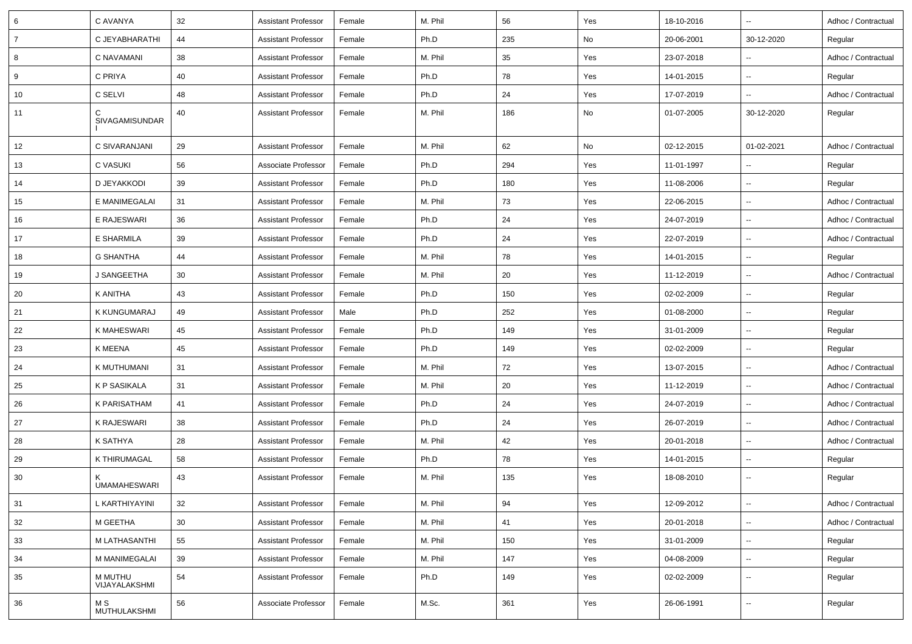| 6              | C AVANYA                 | 32 | <b>Assistant Professor</b> | Female | M. Phil | 56  | Yes | 18-10-2016 | $\sim$                   | Adhoc / Contractual |
|----------------|--------------------------|----|----------------------------|--------|---------|-----|-----|------------|--------------------------|---------------------|
| $\overline{7}$ | C JEYABHARATHI           | 44 | <b>Assistant Professor</b> | Female | Ph.D    | 235 | No  | 20-06-2001 | 30-12-2020               | Regular             |
| 8              | C NAVAMANI               | 38 | <b>Assistant Professor</b> | Female | M. Phil | 35  | Yes | 23-07-2018 | $\overline{\phantom{a}}$ | Adhoc / Contractual |
| 9              | C PRIYA                  | 40 | <b>Assistant Professor</b> | Female | Ph.D    | 78  | Yes | 14-01-2015 | $\sim$                   | Regular             |
| 10             | C SELVI                  | 48 | <b>Assistant Professor</b> | Female | Ph.D    | 24  | Yes | 17-07-2019 | $\sim$                   | Adhoc / Contractual |
| 11             | C<br>SIVAGAMISUNDAR      | 40 | <b>Assistant Professor</b> | Female | M. Phil | 186 | No  | 01-07-2005 | 30-12-2020               | Regular             |
| 12             | C SIVARANJANI            | 29 | <b>Assistant Professor</b> | Female | M. Phil | 62  | No  | 02-12-2015 | 01-02-2021               | Adhoc / Contractual |
| 13             | <b>C VASUKI</b>          | 56 | Associate Professor        | Female | Ph.D    | 294 | Yes | 11-01-1997 |                          | Regular             |
| 14             | D JEYAKKODI              | 39 | <b>Assistant Professor</b> | Female | Ph.D    | 180 | Yes | 11-08-2006 | $\sim$                   | Regular             |
| 15             | E MANIMEGALAI            | 31 | <b>Assistant Professor</b> | Female | M. Phil | 73  | Yes | 22-06-2015 | $\sim$                   | Adhoc / Contractual |
| 16             | E RAJESWARI              | 36 | <b>Assistant Professor</b> | Female | Ph.D    | 24  | Yes | 24-07-2019 | $\sim$                   | Adhoc / Contractual |
| 17             | E SHARMILA               | 39 | <b>Assistant Professor</b> | Female | Ph.D    | 24  | Yes | 22-07-2019 | $\sim$                   | Adhoc / Contractual |
| 18             | <b>G SHANTHA</b>         | 44 | <b>Assistant Professor</b> | Female | M. Phil | 78  | Yes | 14-01-2015 | $\sim$                   | Regular             |
| 19             | J SANGEETHA              | 30 | <b>Assistant Professor</b> | Female | M. Phil | 20  | Yes | 11-12-2019 | $\sim$                   | Adhoc / Contractual |
| 20             | K ANITHA                 | 43 | <b>Assistant Professor</b> | Female | Ph.D    | 150 | Yes | 02-02-2009 | $\sim$                   | Regular             |
| 21             | K KUNGUMARAJ             | 49 | <b>Assistant Professor</b> | Male   | Ph.D    | 252 | Yes | 01-08-2000 | $\sim$                   | Regular             |
| 22             | K MAHESWARI              | 45 | <b>Assistant Professor</b> | Female | Ph.D    | 149 | Yes | 31-01-2009 | $\overline{\phantom{a}}$ | Regular             |
| 23             | K MEENA                  | 45 | <b>Assistant Professor</b> | Female | Ph.D    | 149 | Yes | 02-02-2009 | $\sim$                   | Regular             |
| 24             | K MUTHUMANI              | 31 | <b>Assistant Professor</b> | Female | M. Phil | 72  | Yes | 13-07-2015 | $\sim$                   | Adhoc / Contractual |
| 25             | K P SASIKALA             | 31 | <b>Assistant Professor</b> | Female | M. Phil | 20  | Yes | 11-12-2019 | $\overline{\phantom{a}}$ | Adhoc / Contractual |
| 26             | <b>K PARISATHAM</b>      | 41 | <b>Assistant Professor</b> | Female | Ph.D    | 24  | Yes | 24-07-2019 | $\sim$                   | Adhoc / Contractual |
| 27             | <b>K RAJESWARI</b>       | 38 | <b>Assistant Professor</b> | Female | Ph.D    | 24  | Yes | 26-07-2019 | $\sim$                   | Adhoc / Contractual |
| 28             | K SATHYA                 | 28 | <b>Assistant Professor</b> | Female | M. Phil | 42  | Yes | 20-01-2018 | $\sim$                   | Adhoc / Contractual |
| 29             | K THIRUMAGAL             | 58 | <b>Assistant Professor</b> | Female | Ph.D    | 78  | Yes | 14-01-2015 | $\sim$                   | Regular             |
| 30             | <b>UMAMAHESWARI</b>      | 43 | <b>Assistant Professor</b> | Female | M. Phil | 135 | Yes | 18-08-2010 | $\sim$                   | Regular             |
| 31             | L KARTHIYAYINI           | 32 | <b>Assistant Professor</b> | Female | M. Phil | 94  | Yes | 12-09-2012 | $\sim$                   | Adhoc / Contractual |
| 32             | M GEETHA                 | 30 | <b>Assistant Professor</b> | Female | M. Phil | 41  | Yes | 20-01-2018 | $\overline{\phantom{a}}$ | Adhoc / Contractual |
| 33             | M LATHASANTHI            | 55 | <b>Assistant Professor</b> | Female | M. Phil | 150 | Yes | 31-01-2009 | $\overline{\phantom{a}}$ | Regular             |
| 34             | M MANIMEGALAI            | 39 | <b>Assistant Professor</b> | Female | M. Phil | 147 | Yes | 04-08-2009 | $\sim$                   | Regular             |
| 35             | M MUTHU<br>VIJAYALAKSHMI | 54 | <b>Assistant Professor</b> | Female | Ph.D    | 149 | Yes | 02-02-2009 | $\sim$                   | Regular             |
| 36             | M S<br>MUTHULAKSHMI      | 56 | Associate Professor        | Female | M.Sc.   | 361 | Yes | 26-06-1991 | $\overline{\phantom{a}}$ | Regular             |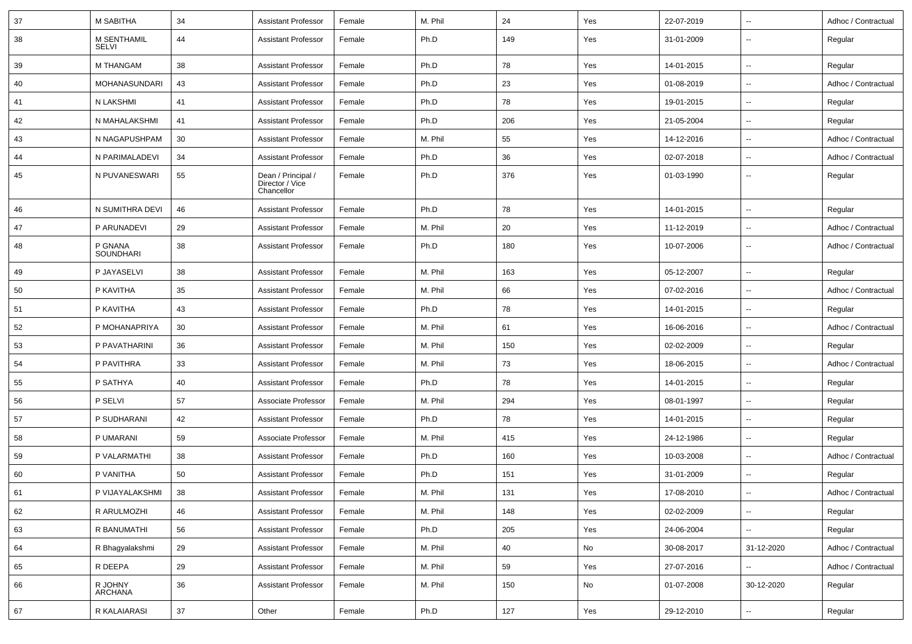| 37 | <b>M SABITHA</b>            | 34 | <b>Assistant Professor</b>                          | Female | M. Phil | 24  | Yes | 22-07-2019 | $\sim$                   | Adhoc / Contractual |
|----|-----------------------------|----|-----------------------------------------------------|--------|---------|-----|-----|------------|--------------------------|---------------------|
| 38 | M SENTHAMIL<br><b>SELVI</b> | 44 | <b>Assistant Professor</b>                          | Female | Ph.D    | 149 | Yes | 31-01-2009 | $\overline{\phantom{a}}$ | Regular             |
| 39 | <b>M THANGAM</b>            | 38 | <b>Assistant Professor</b>                          | Female | Ph.D    | 78  | Yes | 14-01-2015 | $\overline{\phantom{a}}$ | Regular             |
| 40 | MOHANASUNDARI               | 43 | <b>Assistant Professor</b>                          | Female | Ph.D    | 23  | Yes | 01-08-2019 | $\sim$                   | Adhoc / Contractual |
| 41 | N LAKSHMI                   | 41 | <b>Assistant Professor</b>                          | Female | Ph.D    | 78  | Yes | 19-01-2015 | $\sim$                   | Regular             |
| 42 | N MAHALAKSHMI               | 41 | <b>Assistant Professor</b>                          | Female | Ph.D    | 206 | Yes | 21-05-2004 | $\sim$                   | Regular             |
| 43 | N NAGAPUSHPAM               | 30 | <b>Assistant Professor</b>                          | Female | M. Phil | 55  | Yes | 14-12-2016 | $\sim$                   | Adhoc / Contractual |
| 44 | N PARIMALADEVI              | 34 | <b>Assistant Professor</b>                          | Female | Ph.D    | 36  | Yes | 02-07-2018 | $\overline{\phantom{a}}$ | Adhoc / Contractual |
| 45 | N PUVANESWARI               | 55 | Dean / Principal /<br>Director / Vice<br>Chancellor | Female | Ph.D    | 376 | Yes | 01-03-1990 | $\overline{\phantom{a}}$ | Regular             |
| 46 | N SUMITHRA DEVI             | 46 | <b>Assistant Professor</b>                          | Female | Ph.D    | 78  | Yes | 14-01-2015 | $\overline{\phantom{a}}$ | Regular             |
| 47 | P ARUNADEVI                 | 29 | Assistant Professor                                 | Female | M. Phil | 20  | Yes | 11-12-2019 | $\overline{\phantom{a}}$ | Adhoc / Contractual |
| 48 | P GNANA<br><b>SOUNDHARI</b> | 38 | <b>Assistant Professor</b>                          | Female | Ph.D    | 180 | Yes | 10-07-2006 | $\sim$                   | Adhoc / Contractual |
| 49 | P JAYASELVI                 | 38 | <b>Assistant Professor</b>                          | Female | M. Phil | 163 | Yes | 05-12-2007 | $\sim$                   | Regular             |
| 50 | P KAVITHA                   | 35 | <b>Assistant Professor</b>                          | Female | M. Phil | 66  | Yes | 07-02-2016 | $\sim$                   | Adhoc / Contractual |
| 51 | P KAVITHA                   | 43 | <b>Assistant Professor</b>                          | Female | Ph.D    | 78  | Yes | 14-01-2015 | $\overline{\phantom{a}}$ | Regular             |
| 52 | P MOHANAPRIYA               | 30 | <b>Assistant Professor</b>                          | Female | M. Phil | 61  | Yes | 16-06-2016 | $\overline{\phantom{a}}$ | Adhoc / Contractual |
| 53 | P PAVATHARINI               | 36 | <b>Assistant Professor</b>                          | Female | M. Phil | 150 | Yes | 02-02-2009 | $\sim$                   | Regular             |
| 54 | P PAVITHRA                  | 33 | <b>Assistant Professor</b>                          | Female | M. Phil | 73  | Yes | 18-06-2015 | $\overline{\phantom{a}}$ | Adhoc / Contractual |
| 55 | P SATHYA                    | 40 | <b>Assistant Professor</b>                          | Female | Ph.D    | 78  | Yes | 14-01-2015 | $\sim$                   | Regular             |
| 56 | P SELVI                     | 57 | Associate Professor                                 | Female | M. Phil | 294 | Yes | 08-01-1997 | $\overline{\phantom{a}}$ | Regular             |
| 57 | P SUDHARANI                 | 42 | <b>Assistant Professor</b>                          | Female | Ph.D    | 78  | Yes | 14-01-2015 | $\overline{\phantom{a}}$ | Regular             |
| 58 | P UMARANI                   | 59 | Associate Professor                                 | Female | M. Phil | 415 | Yes | 24-12-1986 | $\sim$                   | Regular             |
| 59 | P VALARMATHI                | 38 | <b>Assistant Professor</b>                          | Female | Ph.D    | 160 | Yes | 10-03-2008 | $\overline{\phantom{a}}$ | Adhoc / Contractual |
| 60 | P VANITHA                   | 50 | <b>Assistant Professor</b>                          | Female | Ph.D    | 151 | Yes | 31-01-2009 | $\overline{\phantom{a}}$ | Regular             |
| 61 | P VIJAYALAKSHMI             | 38 | <b>Assistant Professor</b>                          | Female | M. Phil | 131 | Yes | 17-08-2010 | $\sim$                   | Adhoc / Contractual |
| 62 | R ARULMOZHI                 | 46 | <b>Assistant Professor</b>                          | Female | M. Phil | 148 | Yes | 02-02-2009 | $\ddot{\phantom{a}}$     | Regular             |
| 63 | R BANUMATHI                 | 56 | <b>Assistant Professor</b>                          | Female | Ph.D    | 205 | Yes | 24-06-2004 | $\sim$                   | Regular             |
| 64 | R Bhagyalakshmi             | 29 | <b>Assistant Professor</b>                          | Female | M. Phil | 40  | No  | 30-08-2017 | 31-12-2020               | Adhoc / Contractual |
| 65 | R DEEPA                     | 29 | <b>Assistant Professor</b>                          | Female | M. Phil | 59  | Yes | 27-07-2016 | $\overline{\phantom{a}}$ | Adhoc / Contractual |
| 66 | R JOHNY<br>ARCHANA          | 36 | <b>Assistant Professor</b>                          | Female | M. Phil | 150 | No  | 01-07-2008 | 30-12-2020               | Regular             |
| 67 | R KALAIARASI                | 37 | Other                                               | Female | Ph.D    | 127 | Yes | 29-12-2010 | $\overline{\phantom{a}}$ | Regular             |